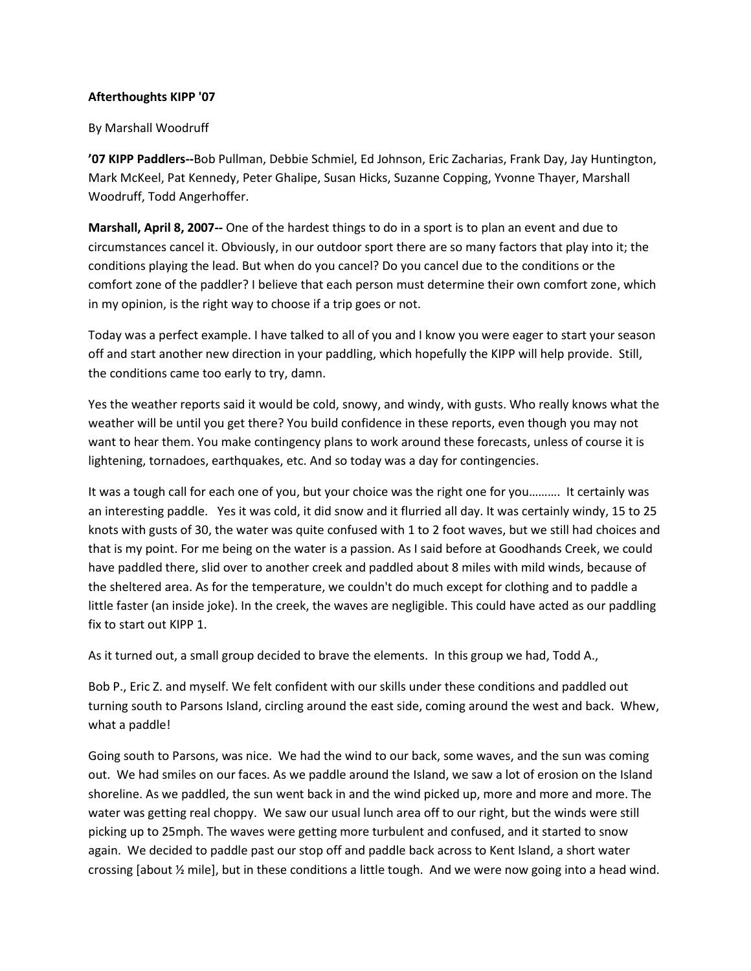## **Afterthoughts KIPP '07**

## By Marshall Woodruff

**'07 KIPP Paddlers--**Bob Pullman, Debbie Schmiel, Ed Johnson, Eric Zacharias, Frank Day, Jay Huntington, Mark McKeel, Pat Kennedy, Peter Ghalipe, Susan Hicks, Suzanne Copping, Yvonne Thayer, Marshall Woodruff, Todd Angerhoffer.

**Marshall, April 8, 2007--** One of the hardest things to do in a sport is to plan an event and due to circumstances cancel it. Obviously, in our outdoor sport there are so many factors that play into it; the conditions playing the lead. But when do you cancel? Do you cancel due to the conditions or the comfort zone of the paddler? I believe that each person must determine their own comfort zone, which in my opinion, is the right way to choose if a trip goes or not.

Today was a perfect example. I have talked to all of you and I know you were eager to start your season off and start another new direction in your paddling, which hopefully the KIPP will help provide. Still, the conditions came too early to try, damn.

Yes the weather reports said it would be cold, snowy, and windy, with gusts. Who really knows what the weather will be until you get there? You build confidence in these reports, even though you may not want to hear them. You make contingency plans to work around these forecasts, unless of course it is lightening, tornadoes, earthquakes, etc. And so today was a day for contingencies.

It was a tough call for each one of you, but your choice was the right one for you………. It certainly was an interesting paddle. Yes it was cold, it did snow and it flurried all day. It was certainly windy, 15 to 25 knots with gusts of 30, the water was quite confused with 1 to 2 foot waves, but we still had choices and that is my point. For me being on the water is a passion. As I said before at Goodhands Creek, we could have paddled there, slid over to another creek and paddled about 8 miles with mild winds, because of the sheltered area. As for the temperature, we couldn't do much except for clothing and to paddle a little faster (an inside joke). In the creek, the waves are negligible. This could have acted as our paddling fix to start out KIPP 1.

As it turned out, a small group decided to brave the elements. In this group we had, Todd A.,

Bob P., Eric Z. and myself. We felt confident with our skills under these conditions and paddled out turning south to Parsons Island, circling around the east side, coming around the west and back. Whew, what a paddle!

Going south to Parsons, was nice. We had the wind to our back, some waves, and the sun was coming out. We had smiles on our faces. As we paddle around the Island, we saw a lot of erosion on the Island shoreline. As we paddled, the sun went back in and the wind picked up, more and more and more. The water was getting real choppy. We saw our usual lunch area off to our right, but the winds were still picking up to 25mph. The waves were getting more turbulent and confused, and it started to snow again. We decided to paddle past our stop off and paddle back across to Kent Island, a short water crossing [about ½ mile], but in these conditions a little tough. And we were now going into a head wind.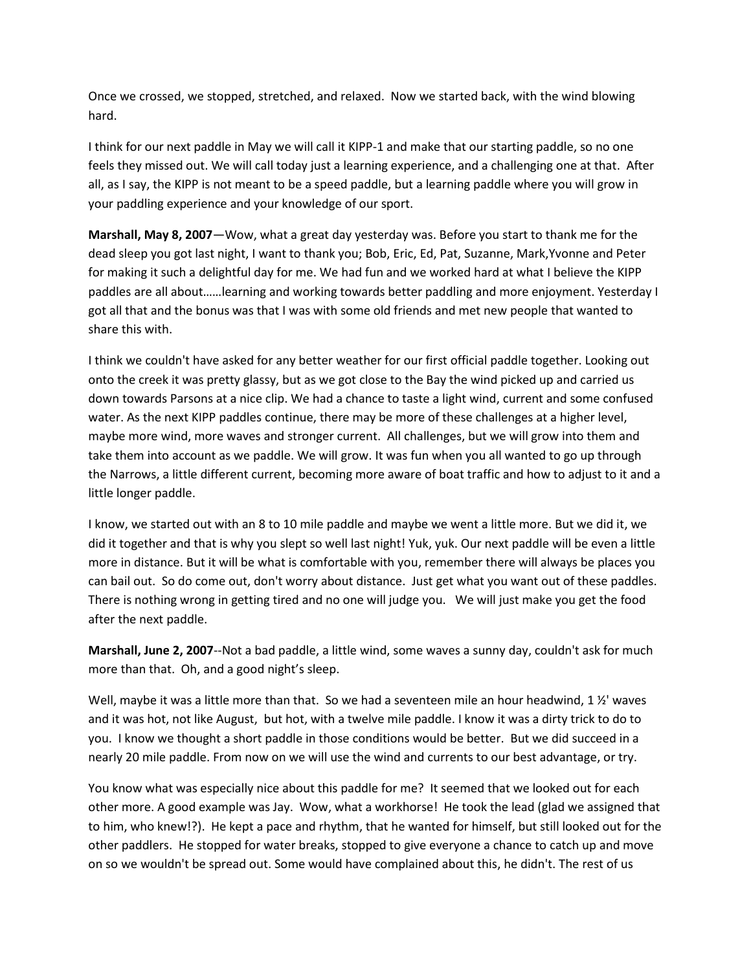Once we crossed, we stopped, stretched, and relaxed. Now we started back, with the wind blowing hard.

I think for our next paddle in May we will call it KIPP-1 and make that our starting paddle, so no one feels they missed out. We will call today just a learning experience, and a challenging one at that. After all, as I say, the KIPP is not meant to be a speed paddle, but a learning paddle where you will grow in your paddling experience and your knowledge of our sport.

**Marshall, May 8, 2007**—Wow, what a great day yesterday was. Before you start to thank me for the dead sleep you got last night, I want to thank you; Bob, Eric, Ed, Pat, Suzanne, Mark,Yvonne and Peter for making it such a delightful day for me. We had fun and we worked hard at what I believe the KIPP paddles are all about……learning and working towards better paddling and more enjoyment. Yesterday I got all that and the bonus was that I was with some old friends and met new people that wanted to share this with.

I think we couldn't have asked for any better weather for our first official paddle together. Looking out onto the creek it was pretty glassy, but as we got close to the Bay the wind picked up and carried us down towards Parsons at a nice clip. We had a chance to taste a light wind, current and some confused water. As the next KIPP paddles continue, there may be more of these challenges at a higher level, maybe more wind, more waves and stronger current. All challenges, but we will grow into them and take them into account as we paddle. We will grow. It was fun when you all wanted to go up through the Narrows, a little different current, becoming more aware of boat traffic and how to adjust to it and a little longer paddle.

I know, we started out with an 8 to 10 mile paddle and maybe we went a little more. But we did it, we did it together and that is why you slept so well last night! Yuk, yuk. Our next paddle will be even a little more in distance. But it will be what is comfortable with you, remember there will always be places you can bail out. So do come out, don't worry about distance. Just get what you want out of these paddles. There is nothing wrong in getting tired and no one will judge you. We will just make you get the food after the next paddle.

**Marshall, June 2, 2007**--Not a bad paddle, a little wind, some waves a sunny day, couldn't ask for much more than that. Oh, and a good night's sleep.

Well, maybe it was a little more than that. So we had a seventeen mile an hour headwind, 1 1/2' waves and it was hot, not like August, but hot, with a twelve mile paddle. I know it was a dirty trick to do to you. I know we thought a short paddle in those conditions would be better. But we did succeed in a nearly 20 mile paddle. From now on we will use the wind and currents to our best advantage, or try.

You know what was especially nice about this paddle for me? It seemed that we looked out for each other more. A good example was Jay. Wow, what a workhorse! He took the lead (glad we assigned that to him, who knew!?). He kept a pace and rhythm, that he wanted for himself, but still looked out for the other paddlers. He stopped for water breaks, stopped to give everyone a chance to catch up and move on so we wouldn't be spread out. Some would have complained about this, he didn't. The rest of us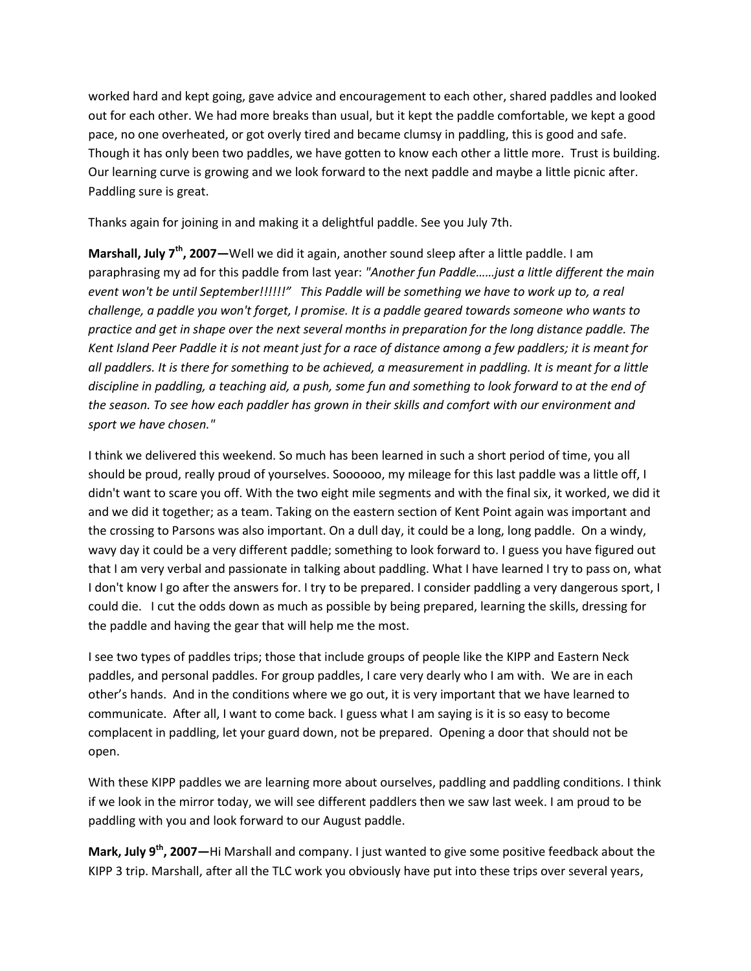worked hard and kept going, gave advice and encouragement to each other, shared paddles and looked out for each other. We had more breaks than usual, but it kept the paddle comfortable, we kept a good pace, no one overheated, or got overly tired and became clumsy in paddling, this is good and safe. Though it has only been two paddles, we have gotten to know each other a little more. Trust is building. Our learning curve is growing and we look forward to the next paddle and maybe a little picnic after. Paddling sure is great.

Thanks again for joining in and making it a delightful paddle. See you July 7th.

**Marshall, July 7th , 2007—**Well we did it again, another sound sleep after a little paddle. I am paraphrasing my ad for this paddle from last year: *"Another fun Paddle……just a little different the main event won't be until September!!!!!!" This Paddle will be something we have to work up to, a real challenge, a paddle you won't forget, I promise. It is a paddle geared towards someone who wants to practice and get in shape over the next several months in preparation for the long distance paddle. The Kent Island Peer Paddle it is not meant just for a race of distance among a few paddlers; it is meant for all paddlers. It is there for something to be achieved, a measurement in paddling. It is meant for a little discipline in paddling, a teaching aid, a push, some fun and something to look forward to at the end of the season. To see how each paddler has grown in their skills and comfort with our environment and sport we have chosen."* 

I think we delivered this weekend. So much has been learned in such a short period of time, you all should be proud, really proud of yourselves. Soooooo, my mileage for this last paddle was a little off, I didn't want to scare you off. With the two eight mile segments and with the final six, it worked, we did it and we did it together; as a team. Taking on the eastern section of Kent Point again was important and the crossing to Parsons was also important. On a dull day, it could be a long, long paddle. On a windy, wavy day it could be a very different paddle; something to look forward to. I guess you have figured out that I am very verbal and passionate in talking about paddling. What I have learned I try to pass on, what I don't know I go after the answers for. I try to be prepared. I consider paddling a very dangerous sport, I could die. I cut the odds down as much as possible by being prepared, learning the skills, dressing for the paddle and having the gear that will help me the most.

I see two types of paddles trips; those that include groups of people like the KIPP and Eastern Neck paddles, and personal paddles. For group paddles, I care very dearly who I am with. We are in each other's hands. And in the conditions where we go out, it is very important that we have learned to communicate. After all, I want to come back. I guess what I am saying is it is so easy to become complacent in paddling, let your guard down, not be prepared. Opening a door that should not be open.

With these KIPP paddles we are learning more about ourselves, paddling and paddling conditions. I think if we look in the mirror today, we will see different paddlers then we saw last week. I am proud to be paddling with you and look forward to our August paddle.

**Mark, July 9th , 2007—**Hi Marshall and company. I just wanted to give some positive feedback about the KIPP 3 trip. Marshall, after all the TLC work you obviously have put into these trips over several years,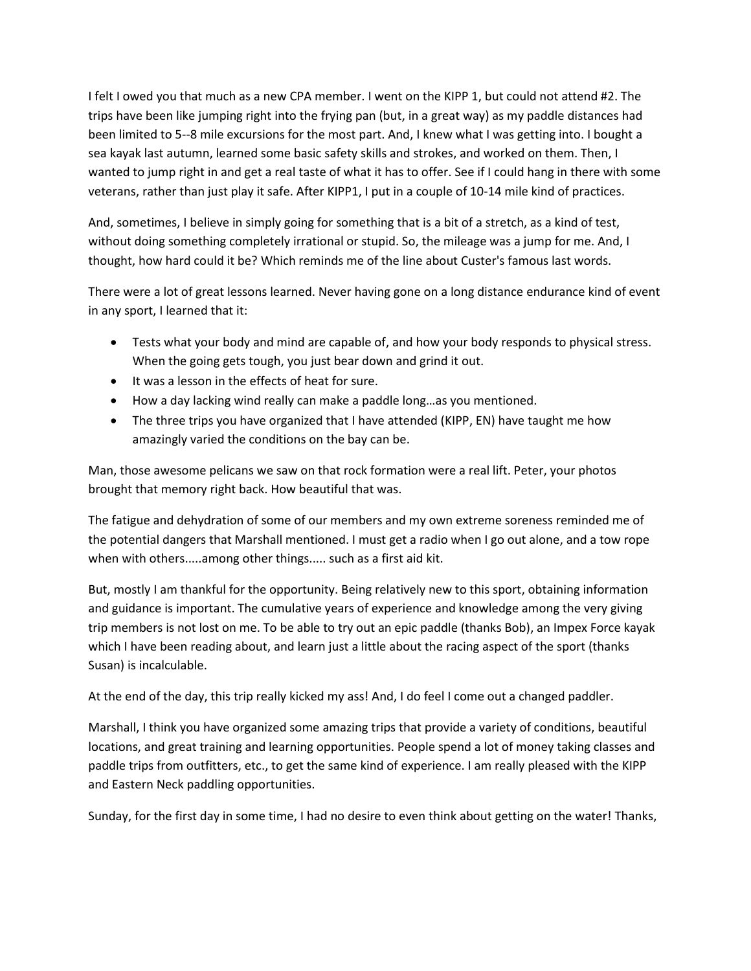I felt I owed you that much as a new CPA member. I went on the KIPP 1, but could not attend #2. The trips have been like jumping right into the frying pan (but, in a great way) as my paddle distances had been limited to 5--8 mile excursions for the most part. And, I knew what I was getting into. I bought a sea kayak last autumn, learned some basic safety skills and strokes, and worked on them. Then, I wanted to jump right in and get a real taste of what it has to offer. See if I could hang in there with some veterans, rather than just play it safe. After KIPP1, I put in a couple of 10-14 mile kind of practices.

And, sometimes, I believe in simply going for something that is a bit of a stretch, as a kind of test, without doing something completely irrational or stupid. So, the mileage was a jump for me. And, I thought, how hard could it be? Which reminds me of the line about Custer's famous last words.

There were a lot of great lessons learned. Never having gone on a long distance endurance kind of event in any sport, I learned that it:

- Tests what your body and mind are capable of, and how your body responds to physical stress. When the going gets tough, you just bear down and grind it out.
- $\bullet$  It was a lesson in the effects of heat for sure.
- How a day lacking wind really can make a paddle long…as you mentioned.
- The three trips you have organized that I have attended (KIPP, EN) have taught me how amazingly varied the conditions on the bay can be.

Man, those awesome pelicans we saw on that rock formation were a real lift. Peter, your photos brought that memory right back. How beautiful that was.

The fatigue and dehydration of some of our members and my own extreme soreness reminded me of the potential dangers that Marshall mentioned. I must get a radio when I go out alone, and a tow rope when with others.....among other things..... such as a first aid kit.

But, mostly I am thankful for the opportunity. Being relatively new to this sport, obtaining information and guidance is important. The cumulative years of experience and knowledge among the very giving trip members is not lost on me. To be able to try out an epic paddle (thanks Bob), an Impex Force kayak which I have been reading about, and learn just a little about the racing aspect of the sport (thanks Susan) is incalculable.

At the end of the day, this trip really kicked my ass! And, I do feel I come out a changed paddler.

Marshall, I think you have organized some amazing trips that provide a variety of conditions, beautiful locations, and great training and learning opportunities. People spend a lot of money taking classes and paddle trips from outfitters, etc., to get the same kind of experience. I am really pleased with the KIPP and Eastern Neck paddling opportunities.

Sunday, for the first day in some time, I had no desire to even think about getting on the water! Thanks,